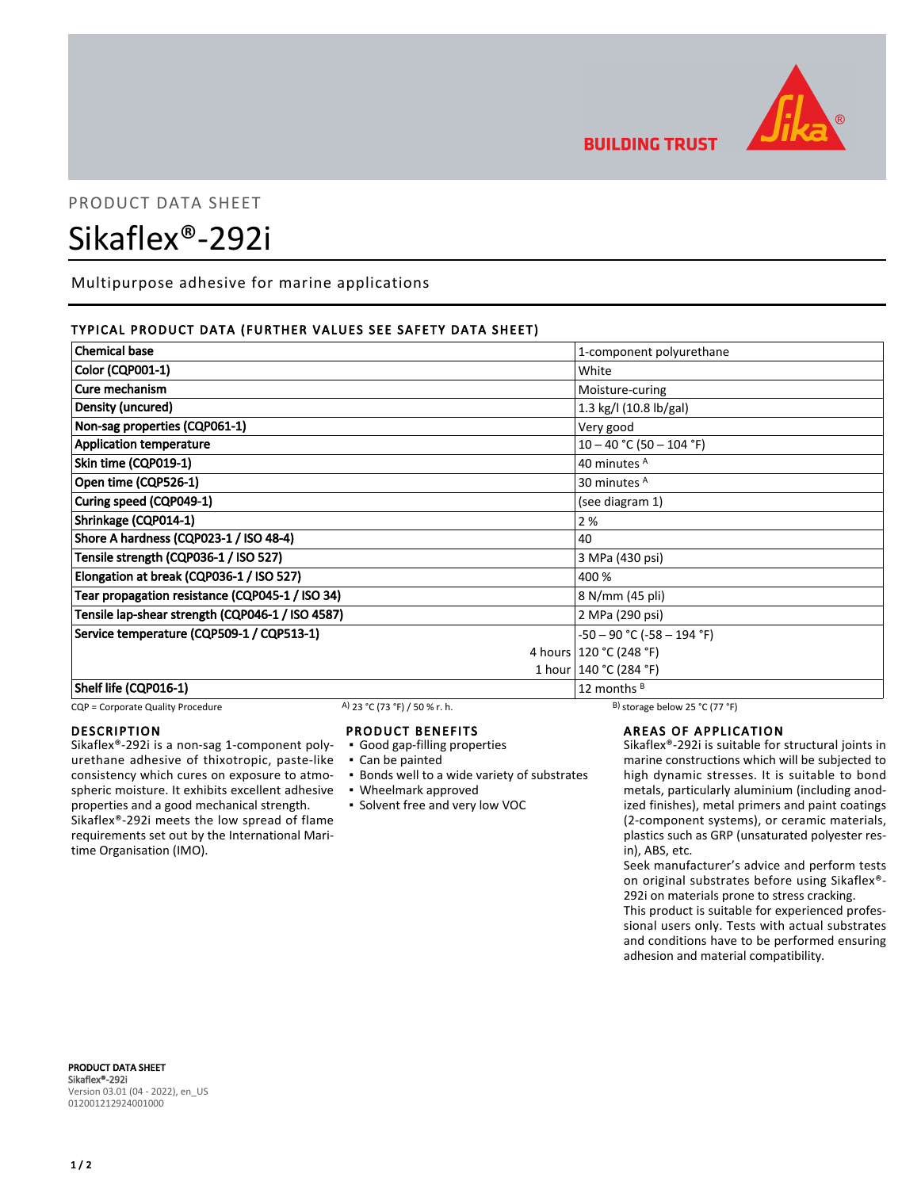

**BUILDING TRUST** 

# PRODUCT DATA SHEET

# Sikaflex®-292i

Multipurpose adhesive for marine applications

# TYPICAL PRODUCT DATA (FURTHER VALUES SEE SAFETY DATA SHEET)

| <b>Chemical base</b>                             | 1-component polyurethane        |  |
|--------------------------------------------------|---------------------------------|--|
| Color (CQP001-1)                                 | White                           |  |
| Cure mechanism                                   | Moisture-curing                 |  |
| Density (uncured)                                | 1.3 kg/l (10.8 lb/gal)          |  |
| Non-sag properties (CQP061-1)                    | Very good                       |  |
| <b>Application temperature</b>                   | $10 - 40$ °C (50 - 104 °F)      |  |
| Skin time (CQP019-1)                             | 40 minutes <sup>A</sup>         |  |
| Open time (CQP526-1)                             | 30 minutes <sup>A</sup>         |  |
| Curing speed (CQP049-1)                          | (see diagram 1)                 |  |
| Shrinkage (CQP014-1)                             | 2 %                             |  |
| Shore A hardness (CQP023-1 / ISO 48-4)           | 40                              |  |
| Tensile strength (CQP036-1 / ISO 527)            | 3 MPa (430 psi)                 |  |
| Elongation at break (CQP036-1 / ISO 527)         | 400 %                           |  |
| Tear propagation resistance (CQP045-1 / ISO 34)  | 8 N/mm (45 pli)                 |  |
| Tensile lap-shear strength (CQP046-1 / ISO 4587) | 2 MPa (290 psi)                 |  |
| Service temperature (CQP509-1 / CQP513-1)        | $-50 - 90$ °C ( $-58 - 194$ °F) |  |
|                                                  | 4 hours   120 °C (248 °F)       |  |
|                                                  | 1 hour   140 °C (284 °F)        |  |
| Shelf life (CQP016-1)                            | 12 months $B$                   |  |

CQP = Corporate Quality Procedure A) 23 °C (73 °F) / 50 % r. h. B) storage below 25 °C (77 °F)

### DESCRIPTION

Sikaflex®-292i is a non-sag 1-component polyurethane adhesive of thixotropic, paste-like consistency which cures on exposure to atmospheric moisture. It exhibits excellent adhesive properties and a good mechanical strength. Sikaflex®-292i meets the low spread of flame requirements set out by the International Maritime Organisation (IMO).

#### PRODUCT BENEFITS

- Good gap-filling properties
- Can be painted
- **.** Bonds well to a wide variety of substrates
- Wheelmark approved
- Solvent free and very low VOC

# AREAS OF APPLICATION

Sikaflex®-292i is suitable for structural joints in marine constructions which will be subjected to high dynamic stresses. It is suitable to bond metals, particularly aluminium (including anodized finishes), metal primers and paint coatings (2-component systems), or ceramic materials, plastics such as GRP (unsaturated polyester resin), ABS, etc.

Seek manufacturer's advice and perform tests on original substrates before using Sikaflex®- 292i on materials prone to stress cracking.

This product is suitable for experienced professional users only. Tests with actual substrates and conditions have to be performed ensuring adhesion and material compatibility.

PRODUCT DATA SHEET Sikaflex®-292i Version 03.01 (04 - 2022), en\_US 012001212924001000